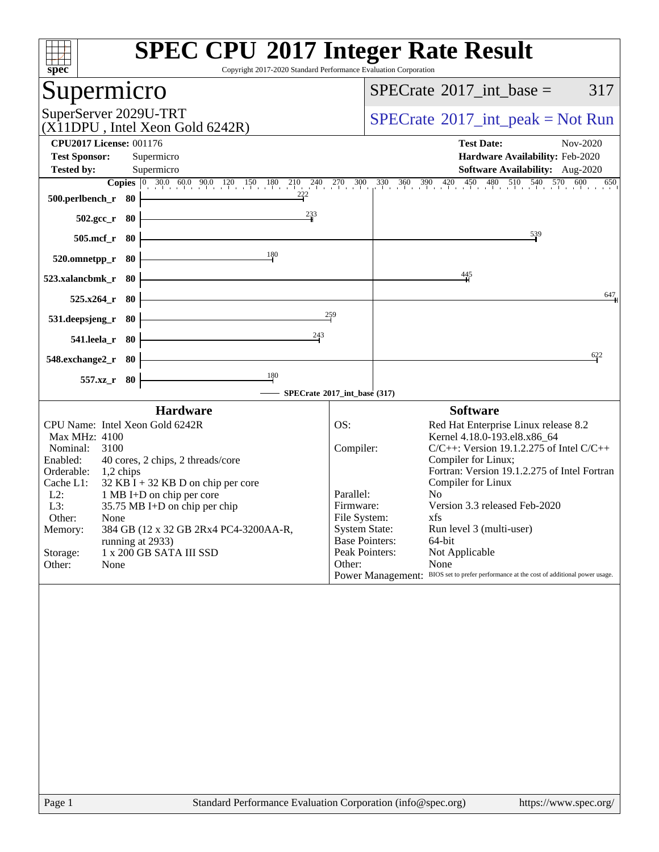| Copyright 2017-2020 Standard Performance Evaluation Corporation<br>spec <sup>®</sup>                                                                                                                                                                                                                                                                                                                                                                         | <b>SPEC CPU®2017 Integer Rate Result</b>                                                                                                                                                                                                                                                                                                                                                                                                                                                                                                                                                                                                                                                                                                                                                                              |
|--------------------------------------------------------------------------------------------------------------------------------------------------------------------------------------------------------------------------------------------------------------------------------------------------------------------------------------------------------------------------------------------------------------------------------------------------------------|-----------------------------------------------------------------------------------------------------------------------------------------------------------------------------------------------------------------------------------------------------------------------------------------------------------------------------------------------------------------------------------------------------------------------------------------------------------------------------------------------------------------------------------------------------------------------------------------------------------------------------------------------------------------------------------------------------------------------------------------------------------------------------------------------------------------------|
| Supermicro                                                                                                                                                                                                                                                                                                                                                                                                                                                   | $SPECrate^{\circledast}2017\_int\_base =$<br>317                                                                                                                                                                                                                                                                                                                                                                                                                                                                                                                                                                                                                                                                                                                                                                      |
| SuperServer 2029U-TRT<br>(X11DPU, Intel Xeon Gold 6242R)                                                                                                                                                                                                                                                                                                                                                                                                     | $SPECrate^{\circledcirc}2017\_int\_peak = Not Run$                                                                                                                                                                                                                                                                                                                                                                                                                                                                                                                                                                                                                                                                                                                                                                    |
| <b>CPU2017 License: 001176</b><br><b>Test Sponsor:</b><br>Supermicro<br>Supermicro<br><b>Tested by:</b><br>$\frac{222}{1}$<br>500.perlbench_r 80                                                                                                                                                                                                                                                                                                             | <b>Test Date:</b><br>Nov-2020<br>Hardware Availability: Feb-2020<br>Software Availability: Aug-2020<br><b>Copies</b> $\begin{bmatrix} 0 & 30.0 & 60.0 & 90.0 & 120 & 150 & 180 & 210 & 240 & 270 & 300 & 330 & 360 & 390 & 420 & 450 & 480 & 510 & 540 & 570 & 600 & 650 \end{bmatrix}$<br>650                                                                                                                                                                                                                                                                                                                                                                                                                                                                                                                        |
| 233<br>$502.\text{gcc}_r$ 80<br>505.mcf_r<br>- 80                                                                                                                                                                                                                                                                                                                                                                                                            | 539                                                                                                                                                                                                                                                                                                                                                                                                                                                                                                                                                                                                                                                                                                                                                                                                                   |
| 180<br>520.omnetpp_r<br>- 80<br>523.xalancbmk_r 80                                                                                                                                                                                                                                                                                                                                                                                                           | $\frac{445}{5}$<br>647                                                                                                                                                                                                                                                                                                                                                                                                                                                                                                                                                                                                                                                                                                                                                                                                |
| $525.x264_r$ 80<br>531.deepsjeng_r<br>80<br>243<br>541.leela_r<br>- 80                                                                                                                                                                                                                                                                                                                                                                                       | 259                                                                                                                                                                                                                                                                                                                                                                                                                                                                                                                                                                                                                                                                                                                                                                                                                   |
| 548.exchange2_r 80<br>$\frac{180}{2}$<br>557.xz_r 80                                                                                                                                                                                                                                                                                                                                                                                                         | 622<br>- SPECrate®2017_int_base (317)                                                                                                                                                                                                                                                                                                                                                                                                                                                                                                                                                                                                                                                                                                                                                                                 |
| <b>Hardware</b><br>CPU Name: Intel Xeon Gold 6242R<br>Max MHz: 4100<br>Nominal:<br>3100<br>40 cores, 2 chips, 2 threads/core<br>Enabled:<br>Orderable:<br>$1,2$ chips<br>Cache L1:<br>$32$ KB I + 32 KB D on chip per core<br>$L2$ :<br>1 MB I+D on chip per core<br>L3:<br>35.75 MB I+D on chip per chip<br>Other:<br>None<br>384 GB (12 x 32 GB 2Rx4 PC4-3200AA-R,<br>Memory:<br>running at 2933)<br>1 x 200 GB SATA III SSD<br>Storage:<br>Other:<br>None | <b>Software</b><br>OS:<br>Red Hat Enterprise Linux release 8.2<br>Kernel 4.18.0-193.el8.x86_64<br>Compiler:<br>$C/C++$ : Version 19.1.2.275 of Intel $C/C++$<br>Compiler for Linux;<br>Fortran: Version 19.1.2.275 of Intel Fortran<br>Compiler for Linux<br>Parallel:<br>No.<br>Version 3.3 released Feb-2020<br>Firmware:<br>File System:<br>xfs and the set of the set of the set of the set of the set of the set of the set of the set of the set of the set of the set of the set of the set of the set of the set of the set of the set of the set of the set of the s<br><b>System State:</b><br>Run level 3 (multi-user)<br><b>Base Pointers:</b><br>64-bit<br>Peak Pointers:<br>Not Applicable<br>Other:<br>None<br>Power Management: BIOS set to prefer performance at the cost of additional power usage. |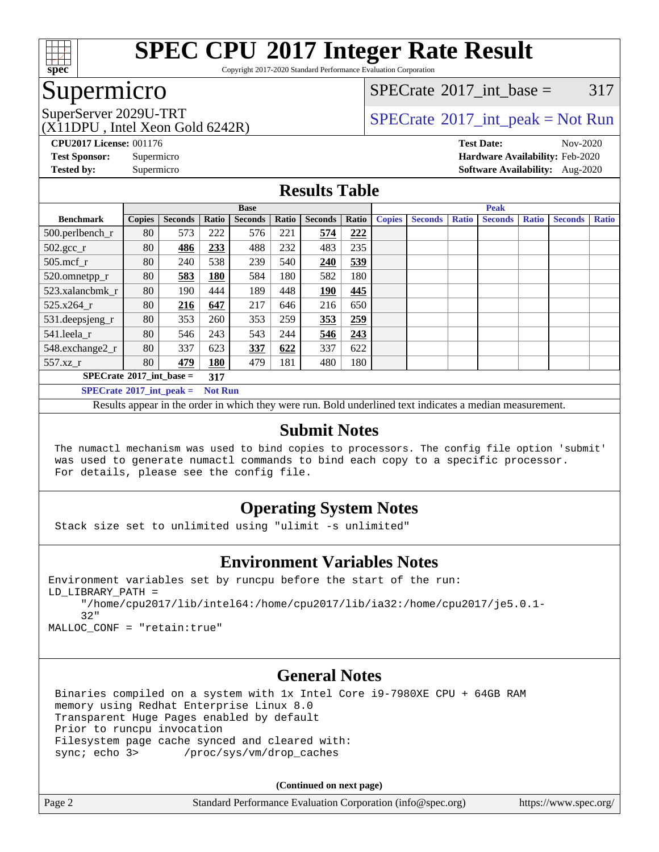

Copyright 2017-2020 Standard Performance Evaluation Corporation

## Supermicro

[SPECrate](http://www.spec.org/auto/cpu2017/Docs/result-fields.html#SPECrate2017intbase)<sup>®</sup>2017 int\_base =  $317$ 

(X11DPU , Intel Xeon Gold 6242R)

SuperServer 2029U-TRT  $SPECrate^{\circ}2017$  $SPECrate^{\circ}2017$ \_int\_peak = Not Run

**[CPU2017 License:](http://www.spec.org/auto/cpu2017/Docs/result-fields.html#CPU2017License)** 001176 **[Test Date:](http://www.spec.org/auto/cpu2017/Docs/result-fields.html#TestDate)** Nov-2020 **[Test Sponsor:](http://www.spec.org/auto/cpu2017/Docs/result-fields.html#TestSponsor)** Supermicro **[Hardware Availability:](http://www.spec.org/auto/cpu2017/Docs/result-fields.html#HardwareAvailability)** Feb-2020 **[Tested by:](http://www.spec.org/auto/cpu2017/Docs/result-fields.html#Testedby)** Supermicro **[Software Availability:](http://www.spec.org/auto/cpu2017/Docs/result-fields.html#SoftwareAvailability)** Aug-2020

#### **[Results Table](http://www.spec.org/auto/cpu2017/Docs/result-fields.html#ResultsTable)**

|                                                     | <b>Base</b>   |                |       |                |       | <b>Peak</b>    |       |               |                |              |                |              |                |              |
|-----------------------------------------------------|---------------|----------------|-------|----------------|-------|----------------|-------|---------------|----------------|--------------|----------------|--------------|----------------|--------------|
| <b>Benchmark</b>                                    | <b>Copies</b> | <b>Seconds</b> | Ratio | <b>Seconds</b> | Ratio | <b>Seconds</b> | Ratio | <b>Copies</b> | <b>Seconds</b> | <b>Ratio</b> | <b>Seconds</b> | <b>Ratio</b> | <b>Seconds</b> | <b>Ratio</b> |
| 500.perlbench_r                                     | 80            | 573            | 222   | 576            | 221   | 574            | 222   |               |                |              |                |              |                |              |
| $502.\text{gcc}$ _r                                 | 80            | 486            | 233   | 488            | 232   | 483            | 235   |               |                |              |                |              |                |              |
| $505$ .mcf r                                        | 80            | 240            | 538   | 239            | 540   | 240            | 539   |               |                |              |                |              |                |              |
| 520.omnetpp_r                                       | 80            | 583            | 180   | 584            | 180   | 582            | 180   |               |                |              |                |              |                |              |
| 523.xalancbmk r                                     | 80            | 190            | 444   | 189            | 448   | 190            | 445   |               |                |              |                |              |                |              |
| 525.x264 r                                          | 80            | 216            | 647   | 217            | 646   | 216            | 650   |               |                |              |                |              |                |              |
| 531.deepsjeng_r                                     | 80            | 353            | 260   | 353            | 259   | 353            | 259   |               |                |              |                |              |                |              |
| 541.leela r                                         | 80            | 546            | 243   | 543            | 244   | 546            | 243   |               |                |              |                |              |                |              |
| 548.exchange2_r                                     | 80            | 337            | 623   | 337            | 622   | 337            | 622   |               |                |              |                |              |                |              |
| 557.xz r                                            | 80            | 479            | 180   | 479            | 181   | 480            | 180   |               |                |              |                |              |                |              |
| $SPECrate^{\circ}2017$ int base =<br>317            |               |                |       |                |       |                |       |               |                |              |                |              |                |              |
| $SPECrate^{\circ}2017$ int peak =<br><b>Not Run</b> |               |                |       |                |       |                |       |               |                |              |                |              |                |              |

Results appear in the [order in which they were run](http://www.spec.org/auto/cpu2017/Docs/result-fields.html#RunOrder). Bold underlined text [indicates a median measurement](http://www.spec.org/auto/cpu2017/Docs/result-fields.html#Median).

#### **[Submit Notes](http://www.spec.org/auto/cpu2017/Docs/result-fields.html#SubmitNotes)**

 The numactl mechanism was used to bind copies to processors. The config file option 'submit' was used to generate numactl commands to bind each copy to a specific processor. For details, please see the config file.

#### **[Operating System Notes](http://www.spec.org/auto/cpu2017/Docs/result-fields.html#OperatingSystemNotes)**

Stack size set to unlimited using "ulimit -s unlimited"

#### **[Environment Variables Notes](http://www.spec.org/auto/cpu2017/Docs/result-fields.html#EnvironmentVariablesNotes)**

```
Environment variables set by runcpu before the start of the run:
LD_LIBRARY_PATH =
      "/home/cpu2017/lib/intel64:/home/cpu2017/lib/ia32:/home/cpu2017/je5.0.1-
      32"
```
MALLOC\_CONF = "retain:true"

#### **[General Notes](http://www.spec.org/auto/cpu2017/Docs/result-fields.html#GeneralNotes)**

 Binaries compiled on a system with 1x Intel Core i9-7980XE CPU + 64GB RAM memory using Redhat Enterprise Linux 8.0 Transparent Huge Pages enabled by default Prior to runcpu invocation Filesystem page cache synced and cleared with: sync; echo 3> /proc/sys/vm/drop\_caches

**(Continued on next page)**

| Page 2 | Standard Performance Evaluation Corporation (info@spec.org) | https://www.spec.org/ |
|--------|-------------------------------------------------------------|-----------------------|
|--------|-------------------------------------------------------------|-----------------------|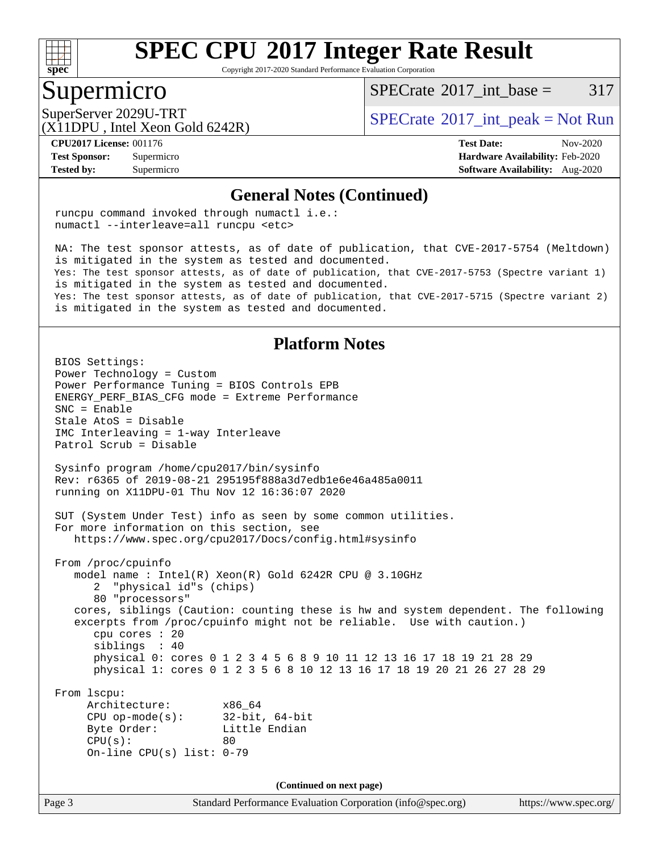

Copyright 2017-2020 Standard Performance Evaluation Corporation

#### Supermicro

[SPECrate](http://www.spec.org/auto/cpu2017/Docs/result-fields.html#SPECrate2017intbase)<sup>®</sup>2017 int\_base =  $317$ 

(X11DPU , Intel Xeon Gold 6242R)

SuperServer 2029U-TRT  $SPECrate^{\circ}2017$  $SPECrate^{\circ}2017$ \_int\_peak = Not Run

**[Tested by:](http://www.spec.org/auto/cpu2017/Docs/result-fields.html#Testedby)** Supermicro **[Software Availability:](http://www.spec.org/auto/cpu2017/Docs/result-fields.html#SoftwareAvailability)** Aug-2020

**[CPU2017 License:](http://www.spec.org/auto/cpu2017/Docs/result-fields.html#CPU2017License)** 001176 **[Test Date:](http://www.spec.org/auto/cpu2017/Docs/result-fields.html#TestDate)** Nov-2020 **[Test Sponsor:](http://www.spec.org/auto/cpu2017/Docs/result-fields.html#TestSponsor)** Supermicro **[Hardware Availability:](http://www.spec.org/auto/cpu2017/Docs/result-fields.html#HardwareAvailability)** Feb-2020

#### **[General Notes \(Continued\)](http://www.spec.org/auto/cpu2017/Docs/result-fields.html#GeneralNotes)**

 runcpu command invoked through numactl i.e.: numactl --interleave=all runcpu <etc>

 NA: The test sponsor attests, as of date of publication, that CVE-2017-5754 (Meltdown) is mitigated in the system as tested and documented. Yes: The test sponsor attests, as of date of publication, that CVE-2017-5753 (Spectre variant 1) is mitigated in the system as tested and documented. Yes: The test sponsor attests, as of date of publication, that CVE-2017-5715 (Spectre variant 2) is mitigated in the system as tested and documented.

#### **[Platform Notes](http://www.spec.org/auto/cpu2017/Docs/result-fields.html#PlatformNotes)**

Page 3 Standard Performance Evaluation Corporation [\(info@spec.org\)](mailto:info@spec.org) <https://www.spec.org/> BIOS Settings: Power Technology = Custom Power Performance Tuning = BIOS Controls EPB ENERGY\_PERF\_BIAS\_CFG mode = Extreme Performance SNC = Enable Stale AtoS = Disable IMC Interleaving = 1-way Interleave Patrol Scrub = Disable Sysinfo program /home/cpu2017/bin/sysinfo Rev: r6365 of 2019-08-21 295195f888a3d7edb1e6e46a485a0011 running on X11DPU-01 Thu Nov 12 16:36:07 2020 SUT (System Under Test) info as seen by some common utilities. For more information on this section, see <https://www.spec.org/cpu2017/Docs/config.html#sysinfo> From /proc/cpuinfo model name : Intel(R) Xeon(R) Gold 6242R CPU @ 3.10GHz 2 "physical id"s (chips) 80 "processors" cores, siblings (Caution: counting these is hw and system dependent. The following excerpts from /proc/cpuinfo might not be reliable. Use with caution.) cpu cores : 20 siblings : 40 physical 0: cores 0 1 2 3 4 5 6 8 9 10 11 12 13 16 17 18 19 21 28 29 physical 1: cores 0 1 2 3 5 6 8 10 12 13 16 17 18 19 20 21 26 27 28 29 From lscpu: Architecture: x86\_64 CPU op-mode(s): 32-bit, 64-bit Byte Order: Little Endian  $CPU(s):$  80 On-line CPU(s) list: 0-79 **(Continued on next page)**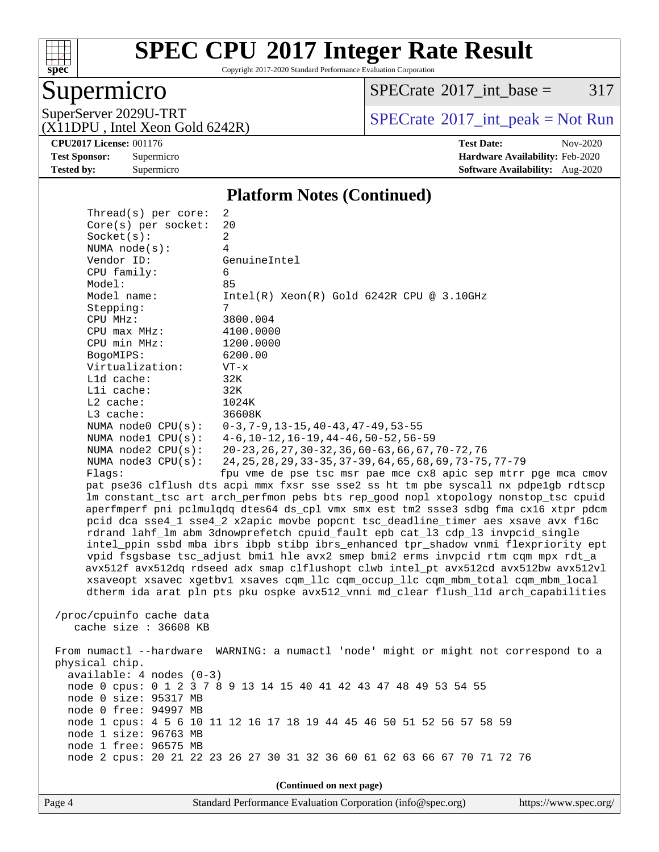

Copyright 2017-2020 Standard Performance Evaluation Corporation

## Supermicro

 $SPECTate@2017_int\_base = 317$ 

(X11DPU , Intel Xeon Gold 6242R)

SuperServer 2029U-TRT <br>(X11DPU Intel Xeon Gold 6242R) [SPECrate](http://www.spec.org/auto/cpu2017/Docs/result-fields.html#SPECrate2017intpeak)®[2017\\_int\\_peak = N](http://www.spec.org/auto/cpu2017/Docs/result-fields.html#SPECrate2017intpeak)ot Run

**[CPU2017 License:](http://www.spec.org/auto/cpu2017/Docs/result-fields.html#CPU2017License)** 001176 **[Test Date:](http://www.spec.org/auto/cpu2017/Docs/result-fields.html#TestDate)** Nov-2020 **[Test Sponsor:](http://www.spec.org/auto/cpu2017/Docs/result-fields.html#TestSponsor)** Supermicro **[Hardware Availability:](http://www.spec.org/auto/cpu2017/Docs/result-fields.html#HardwareAvailability)** Feb-2020 **[Tested by:](http://www.spec.org/auto/cpu2017/Docs/result-fields.html#Testedby)** Supermicro **Supermicro [Software Availability:](http://www.spec.org/auto/cpu2017/Docs/result-fields.html#SoftwareAvailability)** Aug-2020

#### **[Platform Notes \(Continued\)](http://www.spec.org/auto/cpu2017/Docs/result-fields.html#PlatformNotes)**

| Thread(s) per core:                            | 2                                                                                    |  |  |  |  |  |
|------------------------------------------------|--------------------------------------------------------------------------------------|--|--|--|--|--|
| Core(s) per socket:                            | 20                                                                                   |  |  |  |  |  |
| Socket(s):                                     | 2                                                                                    |  |  |  |  |  |
| NUMA node(s):                                  | 4                                                                                    |  |  |  |  |  |
| Vendor ID:                                     | GenuineIntel                                                                         |  |  |  |  |  |
| CPU family:                                    | 6                                                                                    |  |  |  |  |  |
| Model:                                         | 85                                                                                   |  |  |  |  |  |
| Model name:                                    | $Intel(R)$ Xeon $(R)$ Gold 6242R CPU @ 3.10GHz                                       |  |  |  |  |  |
| Stepping:                                      | 7                                                                                    |  |  |  |  |  |
| CPU MHz:                                       | 3800.004                                                                             |  |  |  |  |  |
| $CPU$ max $MHz$ :                              | 4100.0000                                                                            |  |  |  |  |  |
| CPU min MHz:                                   | 1200.0000                                                                            |  |  |  |  |  |
| BogoMIPS:                                      | 6200.00                                                                              |  |  |  |  |  |
| Virtualization:                                | $VT - x$                                                                             |  |  |  |  |  |
| L1d cache:<br>Lli cache:                       | 32K<br>32K                                                                           |  |  |  |  |  |
| $L2$ cache:                                    | 1024K                                                                                |  |  |  |  |  |
| L3 cache:                                      | 36608K                                                                               |  |  |  |  |  |
| NUMA $node0$ $CPU(s)$ :                        | $0-3, 7-9, 13-15, 40-43, 47-49, 53-55$                                               |  |  |  |  |  |
| NUMA nodel CPU(s):                             | $4-6$ , $10-12$ , $16-19$ , $44-46$ , $50-52$ , $56-59$                              |  |  |  |  |  |
| NUMA $node2$ $CPU(s):$                         | $20 - 23$ , 26, 27, 30 - 32, 36, 60 - 63, 66, 67, 70 - 72, 76                        |  |  |  |  |  |
| NUMA node3 CPU(s):                             | 24, 25, 28, 29, 33-35, 37-39, 64, 65, 68, 69, 73-75, 77-79                           |  |  |  |  |  |
| Flaqs:                                         | fpu vme de pse tsc msr pae mce cx8 apic sep mtrr pge mca cmov                        |  |  |  |  |  |
|                                                | pat pse36 clflush dts acpi mmx fxsr sse sse2 ss ht tm pbe syscall nx pdpelgb rdtscp  |  |  |  |  |  |
|                                                | lm constant_tsc art arch_perfmon pebs bts rep_good nopl xtopology nonstop_tsc cpuid  |  |  |  |  |  |
|                                                | aperfmperf pni pclmulqdq dtes64 ds_cpl vmx smx est tm2 ssse3 sdbg fma cx16 xtpr pdcm |  |  |  |  |  |
|                                                | pcid dca sse4_1 sse4_2 x2apic movbe popcnt tsc_deadline_timer aes xsave avx f16c     |  |  |  |  |  |
|                                                | rdrand lahf_lm abm 3dnowprefetch cpuid_fault epb cat_13 cdp_13 invpcid_single        |  |  |  |  |  |
|                                                | intel_ppin ssbd mba ibrs ibpb stibp ibrs_enhanced tpr_shadow vnmi flexpriority ept   |  |  |  |  |  |
|                                                | vpid fsgsbase tsc_adjust bmil hle avx2 smep bmi2 erms invpcid rtm cqm mpx rdt_a      |  |  |  |  |  |
|                                                | avx512f avx512dq rdseed adx smap clflushopt clwb intel_pt avx512cd avx512bw avx512vl |  |  |  |  |  |
|                                                | xsaveopt xsavec xgetbvl xsaves cqm_llc cqm_occup_llc cqm_mbm_total cqm_mbm_local     |  |  |  |  |  |
|                                                | dtherm ida arat pln pts pku ospke avx512_vnni md_clear flush_lld arch_capabilities   |  |  |  |  |  |
|                                                |                                                                                      |  |  |  |  |  |
| /proc/cpuinfo cache data                       |                                                                                      |  |  |  |  |  |
| cache size $: 36608$ KB                        |                                                                                      |  |  |  |  |  |
|                                                |                                                                                      |  |  |  |  |  |
|                                                | From numactl --hardware WARNING: a numactl 'node' might or might not correspond to a |  |  |  |  |  |
| physical chip.                                 |                                                                                      |  |  |  |  |  |
| $available: 4 nodes (0-3)$                     |                                                                                      |  |  |  |  |  |
|                                                | node 0 cpus: 0 1 2 3 7 8 9 13 14 15 40 41 42 43 47 48 49 53 54 55                    |  |  |  |  |  |
| node 0 size: 95317 MB                          |                                                                                      |  |  |  |  |  |
| node 0 free: 94997 MB                          |                                                                                      |  |  |  |  |  |
|                                                | node 1 cpus: 4 5 6 10 11 12 16 17 18 19 44 45 46 50 51 52 56 57 58 59                |  |  |  |  |  |
| node 1 size: 96763 MB<br>node 1 free: 96575 MB |                                                                                      |  |  |  |  |  |
|                                                |                                                                                      |  |  |  |  |  |
|                                                | node 2 cpus: 20 21 22 23 26 27 30 31 32 36 60 61 62 63 66 67 70 71 72 76             |  |  |  |  |  |
|                                                |                                                                                      |  |  |  |  |  |
| (Continued on next page)                       |                                                                                      |  |  |  |  |  |

Page 4 Standard Performance Evaluation Corporation [\(info@spec.org\)](mailto:info@spec.org) <https://www.spec.org/>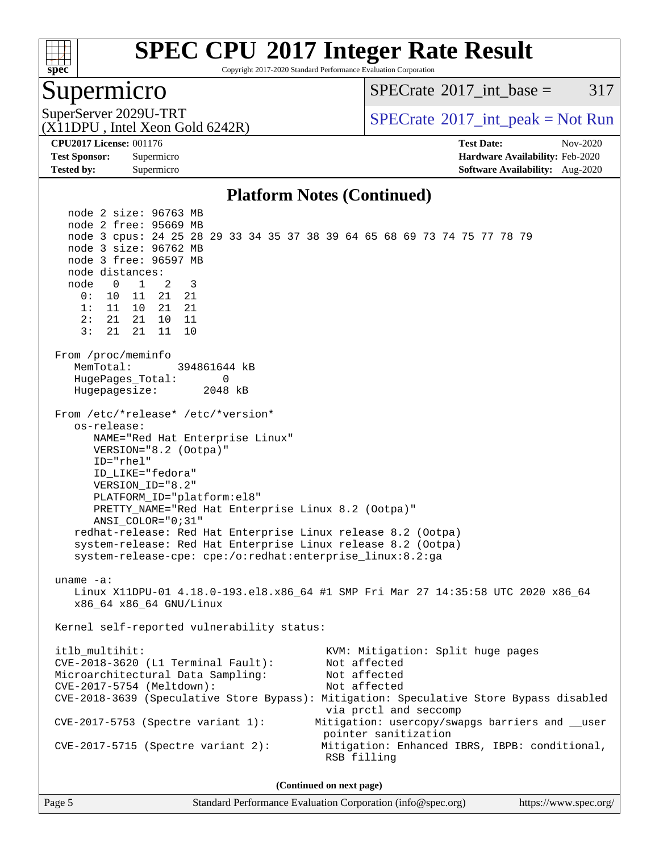

Copyright 2017-2020 Standard Performance Evaluation Corporation

#### Supermicro

[SPECrate](http://www.spec.org/auto/cpu2017/Docs/result-fields.html#SPECrate2017intbase)<sup>®</sup>2017 int\_base =  $317$ 

(X11DPU , Intel Xeon Gold 6242R)

SuperServer 2029U-TRT  $SPECrate^{\circ}2017$  $SPECrate^{\circ}2017$ \_int\_peak = Not Run

**[Tested by:](http://www.spec.org/auto/cpu2017/Docs/result-fields.html#Testedby)** Supermicro **[Software Availability:](http://www.spec.org/auto/cpu2017/Docs/result-fields.html#SoftwareAvailability)** Aug-2020

**[CPU2017 License:](http://www.spec.org/auto/cpu2017/Docs/result-fields.html#CPU2017License)** 001176 **[Test Date:](http://www.spec.org/auto/cpu2017/Docs/result-fields.html#TestDate)** Nov-2020 **[Test Sponsor:](http://www.spec.org/auto/cpu2017/Docs/result-fields.html#TestSponsor)** Supermicro **[Hardware Availability:](http://www.spec.org/auto/cpu2017/Docs/result-fields.html#HardwareAvailability)** Feb-2020

#### **[Platform Notes \(Continued\)](http://www.spec.org/auto/cpu2017/Docs/result-fields.html#PlatformNotes)**

 node 2 size: 96763 MB node 2 free: 95669 MB node 3 cpus: 24 25 28 29 33 34 35 37 38 39 64 65 68 69 73 74 75 77 78 79 node 3 size: 96762 MB node 3 free: 96597 MB node distances: node 0 1 2 3 0: 10 11 21 21 1: 11 10 21 21 2: 21 21 10 11 3: 21 21 11 10 From /proc/meminfo MemTotal: 394861644 kB HugePages\_Total: 0 Hugepagesize: 2048 kB From /etc/\*release\* /etc/\*version\* os-release: NAME="Red Hat Enterprise Linux" VERSION="8.2 (Ootpa)" ID="rhel" ID\_LIKE="fedora" VERSION\_ID="8.2" PLATFORM\_ID="platform:el8" PRETTY\_NAME="Red Hat Enterprise Linux 8.2 (Ootpa)" ANSI\_COLOR="0;31" redhat-release: Red Hat Enterprise Linux release 8.2 (Ootpa) system-release: Red Hat Enterprise Linux release 8.2 (Ootpa) system-release-cpe: cpe:/o:redhat:enterprise\_linux:8.2:ga uname -a: Linux X11DPU-01 4.18.0-193.el8.x86\_64 #1 SMP Fri Mar 27 14:35:58 UTC 2020 x86\_64 x86\_64 x86\_64 GNU/Linux Kernel self-reported vulnerability status: itlb\_multihit: KVM: Mitigation: Split huge pages<br>CVE-2018-3620 (L1 Terminal Fault): Not affected  $CVE-2018-3620$  (L1 Terminal Fault): Microarchitectural Data Sampling: Not affected CVE-2017-5754 (Meltdown): Not affected CVE-2018-3639 (Speculative Store Bypass): Mitigation: Speculative Store Bypass disabled via prctl and seccomp CVE-2017-5753 (Spectre variant 1): Mitigation: usercopy/swapgs barriers and \_\_user pointer sanitization CVE-2017-5715 (Spectre variant 2): Mitigation: Enhanced IBRS, IBPB: conditional, RSB filling **(Continued on next page)**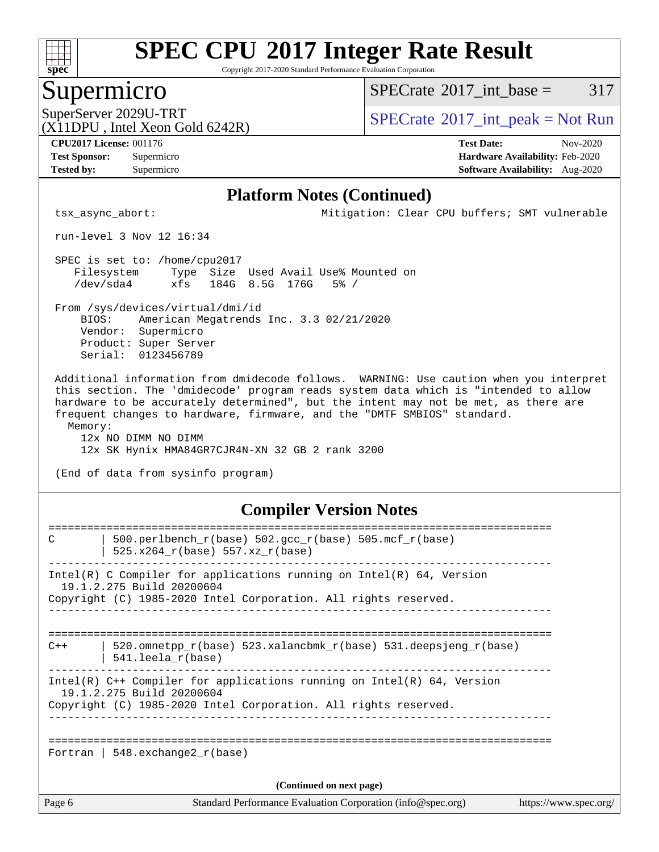

Copyright 2017-2020 Standard Performance Evaluation Corporation

#### Supermicro

 $SPECTate$ <sup>®</sup>[2017\\_int\\_base =](http://www.spec.org/auto/cpu2017/Docs/result-fields.html#SPECrate2017intbase) 317

(X11DPU , Intel Xeon Gold 6242R)

SuperServer 2029U-TRT  $SPECrate^{\circ}2017$  $SPECrate^{\circ}2017$ \_int\_peak = Not Run

**[Tested by:](http://www.spec.org/auto/cpu2017/Docs/result-fields.html#Testedby)** Supermicro **[Software Availability:](http://www.spec.org/auto/cpu2017/Docs/result-fields.html#SoftwareAvailability)** Aug-2020

**[CPU2017 License:](http://www.spec.org/auto/cpu2017/Docs/result-fields.html#CPU2017License)** 001176 **[Test Date:](http://www.spec.org/auto/cpu2017/Docs/result-fields.html#TestDate)** Nov-2020 **[Test Sponsor:](http://www.spec.org/auto/cpu2017/Docs/result-fields.html#TestSponsor)** Supermicro **[Hardware Availability:](http://www.spec.org/auto/cpu2017/Docs/result-fields.html#HardwareAvailability)** Feb-2020

#### **[Platform Notes \(Continued\)](http://www.spec.org/auto/cpu2017/Docs/result-fields.html#PlatformNotes)**

tsx\_async\_abort: Mitigation: Clear CPU buffers; SMT vulnerable

run-level 3 Nov 12 16:34

 SPEC is set to: /home/cpu2017 Filesystem Type Size Used Avail Use% Mounted on /dev/sda4 xfs 184G 8.5G 176G 5% /

 From /sys/devices/virtual/dmi/id BIOS: American Megatrends Inc. 3.3 02/21/2020 Vendor: Supermicro Product: Super Server Serial: 0123456789

 Additional information from dmidecode follows. WARNING: Use caution when you interpret this section. The 'dmidecode' program reads system data which is "intended to allow hardware to be accurately determined", but the intent may not be met, as there are frequent changes to hardware, firmware, and the "DMTF SMBIOS" standard. Memory:

 12x NO DIMM NO DIMM 12x SK Hynix HMA84GR7CJR4N-XN 32 GB 2 rank 3200

(End of data from sysinfo program)

#### **[Compiler Version Notes](http://www.spec.org/auto/cpu2017/Docs/result-fields.html#CompilerVersionNotes)**

| C                        | 500.perlbench_r(base) 502.gcc_r(base) 505.mcf_r(base)                                                 |                       |  |  |  |
|--------------------------|-------------------------------------------------------------------------------------------------------|-----------------------|--|--|--|
|                          | 525.x264 r(base) 557.xz r(base)                                                                       |                       |  |  |  |
|                          | Intel(R) C Compiler for applications running on Intel(R) $64$ , Version                               |                       |  |  |  |
|                          | 19.1.2.275 Build 20200604<br>Copyright (C) 1985-2020 Intel Corporation. All rights reserved.          |                       |  |  |  |
|                          |                                                                                                       |                       |  |  |  |
| $C++$                    | 520.omnetpp $r(base)$ 523.xalancbmk $r(base)$ 531.deepsjeng $r(base)$<br>$541.$ leela $r(base)$       |                       |  |  |  |
|                          | Intel(R) $C++$ Compiler for applications running on Intel(R) 64, Version<br>19.1.2.275 Build 20200604 |                       |  |  |  |
|                          | Copyright (C) 1985-2020 Intel Corporation. All rights reserved.                                       |                       |  |  |  |
|                          |                                                                                                       |                       |  |  |  |
|                          | Fortran   548.exchange2 $r(base)$                                                                     |                       |  |  |  |
| (Continued on next page) |                                                                                                       |                       |  |  |  |
| Page 6                   | Standard Performance Evaluation Corporation (info@spec.org)                                           | https://www.spec.org/ |  |  |  |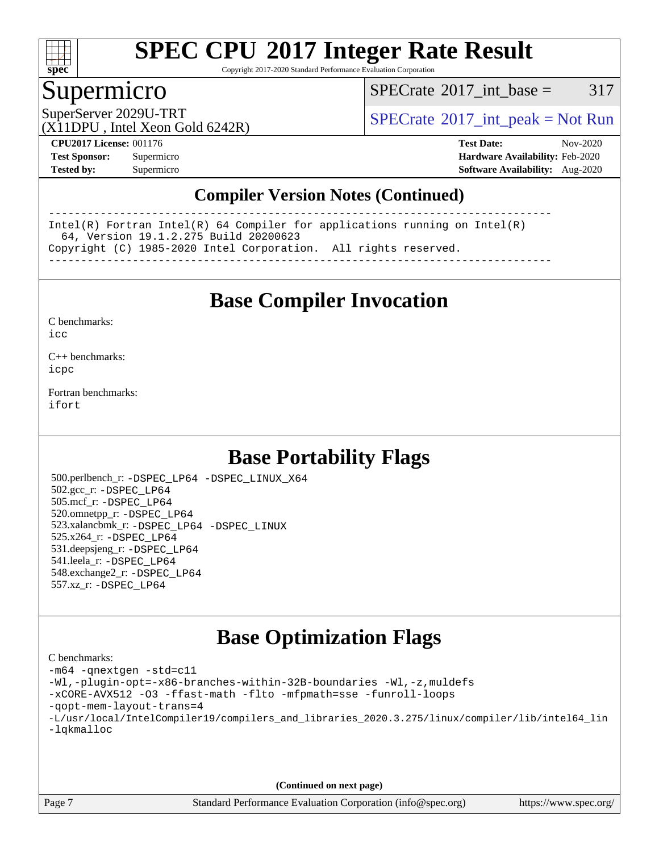

Copyright 2017-2020 Standard Performance Evaluation Corporation

#### Supermicro

 $SPECTate@2017\_int\_base = 317$ 

SuperServer 2029U-TRT  $SPECrate^{\circ}2017$  $SPECrate^{\circ}2017$ \_int\_peak = Not Run

(X11DPU , Intel Xeon Gold 6242R)

**[CPU2017 License:](http://www.spec.org/auto/cpu2017/Docs/result-fields.html#CPU2017License)** 001176 **[Test Date:](http://www.spec.org/auto/cpu2017/Docs/result-fields.html#TestDate)** Nov-2020 **[Test Sponsor:](http://www.spec.org/auto/cpu2017/Docs/result-fields.html#TestSponsor)** Supermicro **[Hardware Availability:](http://www.spec.org/auto/cpu2017/Docs/result-fields.html#HardwareAvailability)** Feb-2020 **[Tested by:](http://www.spec.org/auto/cpu2017/Docs/result-fields.html#Testedby)** Supermicro **[Software Availability:](http://www.spec.org/auto/cpu2017/Docs/result-fields.html#SoftwareAvailability)** Aug-2020

#### **[Compiler Version Notes \(Continued\)](http://www.spec.org/auto/cpu2017/Docs/result-fields.html#CompilerVersionNotes)**

------------------------------------------------------------------------------ Intel(R) Fortran Intel(R) 64 Compiler for applications running on Intel(R) 64, Version 19.1.2.275 Build 20200623 Copyright (C) 1985-2020 Intel Corporation. All rights reserved. ------------------------------------------------------------------------------

**[Base Compiler Invocation](http://www.spec.org/auto/cpu2017/Docs/result-fields.html#BaseCompilerInvocation)**

[C benchmarks](http://www.spec.org/auto/cpu2017/Docs/result-fields.html#Cbenchmarks):  $i$ cc

[C++ benchmarks:](http://www.spec.org/auto/cpu2017/Docs/result-fields.html#CXXbenchmarks) [icpc](http://www.spec.org/cpu2017/results/res2020q4/cpu2017-20201207-24559.flags.html#user_CXXbase_intel_icpc_c510b6838c7f56d33e37e94d029a35b4a7bccf4766a728ee175e80a419847e808290a9b78be685c44ab727ea267ec2f070ec5dc83b407c0218cded6866a35d07)

[Fortran benchmarks](http://www.spec.org/auto/cpu2017/Docs/result-fields.html#Fortranbenchmarks): [ifort](http://www.spec.org/cpu2017/results/res2020q4/cpu2017-20201207-24559.flags.html#user_FCbase_intel_ifort_8111460550e3ca792625aed983ce982f94888b8b503583aa7ba2b8303487b4d8a21a13e7191a45c5fd58ff318f48f9492884d4413fa793fd88dd292cad7027ca)

## **[Base Portability Flags](http://www.spec.org/auto/cpu2017/Docs/result-fields.html#BasePortabilityFlags)**

 500.perlbench\_r: [-DSPEC\\_LP64](http://www.spec.org/cpu2017/results/res2020q4/cpu2017-20201207-24559.flags.html#b500.perlbench_r_basePORTABILITY_DSPEC_LP64) [-DSPEC\\_LINUX\\_X64](http://www.spec.org/cpu2017/results/res2020q4/cpu2017-20201207-24559.flags.html#b500.perlbench_r_baseCPORTABILITY_DSPEC_LINUX_X64) 502.gcc\_r: [-DSPEC\\_LP64](http://www.spec.org/cpu2017/results/res2020q4/cpu2017-20201207-24559.flags.html#suite_basePORTABILITY502_gcc_r_DSPEC_LP64) 505.mcf\_r: [-DSPEC\\_LP64](http://www.spec.org/cpu2017/results/res2020q4/cpu2017-20201207-24559.flags.html#suite_basePORTABILITY505_mcf_r_DSPEC_LP64) 520.omnetpp\_r: [-DSPEC\\_LP64](http://www.spec.org/cpu2017/results/res2020q4/cpu2017-20201207-24559.flags.html#suite_basePORTABILITY520_omnetpp_r_DSPEC_LP64) 523.xalancbmk\_r: [-DSPEC\\_LP64](http://www.spec.org/cpu2017/results/res2020q4/cpu2017-20201207-24559.flags.html#suite_basePORTABILITY523_xalancbmk_r_DSPEC_LP64) [-DSPEC\\_LINUX](http://www.spec.org/cpu2017/results/res2020q4/cpu2017-20201207-24559.flags.html#b523.xalancbmk_r_baseCXXPORTABILITY_DSPEC_LINUX) 525.x264\_r: [-DSPEC\\_LP64](http://www.spec.org/cpu2017/results/res2020q4/cpu2017-20201207-24559.flags.html#suite_basePORTABILITY525_x264_r_DSPEC_LP64) 531.deepsjeng\_r: [-DSPEC\\_LP64](http://www.spec.org/cpu2017/results/res2020q4/cpu2017-20201207-24559.flags.html#suite_basePORTABILITY531_deepsjeng_r_DSPEC_LP64) 541.leela\_r: [-DSPEC\\_LP64](http://www.spec.org/cpu2017/results/res2020q4/cpu2017-20201207-24559.flags.html#suite_basePORTABILITY541_leela_r_DSPEC_LP64) 548.exchange2\_r: [-DSPEC\\_LP64](http://www.spec.org/cpu2017/results/res2020q4/cpu2017-20201207-24559.flags.html#suite_basePORTABILITY548_exchange2_r_DSPEC_LP64) 557.xz\_r: [-DSPEC\\_LP64](http://www.spec.org/cpu2017/results/res2020q4/cpu2017-20201207-24559.flags.html#suite_basePORTABILITY557_xz_r_DSPEC_LP64)

## **[Base Optimization Flags](http://www.spec.org/auto/cpu2017/Docs/result-fields.html#BaseOptimizationFlags)**

[C benchmarks](http://www.spec.org/auto/cpu2017/Docs/result-fields.html#Cbenchmarks): [-m64](http://www.spec.org/cpu2017/results/res2020q4/cpu2017-20201207-24559.flags.html#user_CCbase_m64-icc) [-qnextgen](http://www.spec.org/cpu2017/results/res2020q4/cpu2017-20201207-24559.flags.html#user_CCbase_f-qnextgen) [-std=c11](http://www.spec.org/cpu2017/results/res2020q4/cpu2017-20201207-24559.flags.html#user_CCbase_std-icc-std_0e1c27790398a4642dfca32ffe6c27b5796f9c2d2676156f2e42c9c44eaad0c049b1cdb667a270c34d979996257aeb8fc440bfb01818dbc9357bd9d174cb8524) [-Wl,-plugin-opt=-x86-branches-within-32B-boundaries](http://www.spec.org/cpu2017/results/res2020q4/cpu2017-20201207-24559.flags.html#user_CCbase_f-x86-branches-within-32B-boundaries_0098b4e4317ae60947b7b728078a624952a08ac37a3c797dfb4ffeb399e0c61a9dd0f2f44ce917e9361fb9076ccb15e7824594512dd315205382d84209e912f3) [-Wl,-z,muldefs](http://www.spec.org/cpu2017/results/res2020q4/cpu2017-20201207-24559.flags.html#user_CCbase_link_force_multiple1_b4cbdb97b34bdee9ceefcfe54f4c8ea74255f0b02a4b23e853cdb0e18eb4525ac79b5a88067c842dd0ee6996c24547a27a4b99331201badda8798ef8a743f577) [-xCORE-AVX512](http://www.spec.org/cpu2017/results/res2020q4/cpu2017-20201207-24559.flags.html#user_CCbase_f-xCORE-AVX512) [-O3](http://www.spec.org/cpu2017/results/res2020q4/cpu2017-20201207-24559.flags.html#user_CCbase_f-O3) [-ffast-math](http://www.spec.org/cpu2017/results/res2020q4/cpu2017-20201207-24559.flags.html#user_CCbase_f-ffast-math) [-flto](http://www.spec.org/cpu2017/results/res2020q4/cpu2017-20201207-24559.flags.html#user_CCbase_f-flto) [-mfpmath=sse](http://www.spec.org/cpu2017/results/res2020q4/cpu2017-20201207-24559.flags.html#user_CCbase_f-mfpmath_70eb8fac26bde974f8ab713bc9086c5621c0b8d2f6c86f38af0bd7062540daf19db5f3a066d8c6684be05d84c9b6322eb3b5be6619d967835195b93d6c02afa1) [-funroll-loops](http://www.spec.org/cpu2017/results/res2020q4/cpu2017-20201207-24559.flags.html#user_CCbase_f-funroll-loops) [-qopt-mem-layout-trans=4](http://www.spec.org/cpu2017/results/res2020q4/cpu2017-20201207-24559.flags.html#user_CCbase_f-qopt-mem-layout-trans_fa39e755916c150a61361b7846f310bcdf6f04e385ef281cadf3647acec3f0ae266d1a1d22d972a7087a248fd4e6ca390a3634700869573d231a252c784941a8) [-L/usr/local/IntelCompiler19/compilers\\_and\\_libraries\\_2020.3.275/linux/compiler/lib/intel64\\_lin](http://www.spec.org/cpu2017/results/res2020q4/cpu2017-20201207-24559.flags.html#user_CCbase_linkpath_6eb3b1b8be403820338b5b82e7a1c217a861a8962ac718a6253be1483b50620487664a39a847caf560d84a6b8bab7cca33d9f414525a12ede1e9473db34a3d08) [-lqkmalloc](http://www.spec.org/cpu2017/results/res2020q4/cpu2017-20201207-24559.flags.html#user_CCbase_qkmalloc_link_lib_79a818439969f771c6bc311cfd333c00fc099dad35c030f5aab9dda831713d2015205805422f83de8875488a2991c0a156aaa600e1f9138f8fc37004abc96dc5)

**(Continued on next page)**

Page 7 Standard Performance Evaluation Corporation [\(info@spec.org\)](mailto:info@spec.org) <https://www.spec.org/>